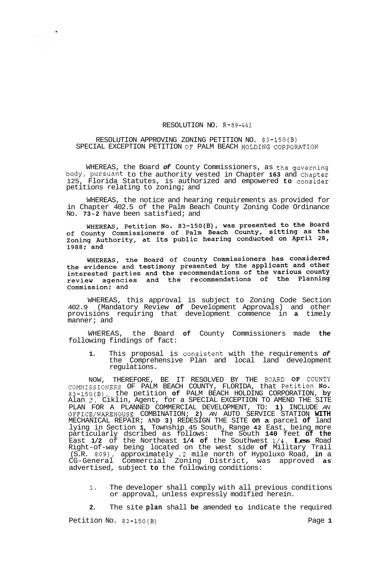## RESOLUTION NO. R-89-442

## RESOLUTION APPROVING ZONING PETITION NO. 83-150(B) SPECIAL EXCEPTION PETITION OF PALM BEACH HOLDING CORPORATION

WHEREAS, the Board *of* County Commissioners, as the governing body, pursuant to the authority vested in Chapter **163** and Chapter 125, Florida Statutes, is authorized and empowered **to** consider petitions relating to zoning; and

WHEREAS, the notice and hearing requirements as provided for in Chapter 402.5 of the Palm Beach County Zoning Code Ordinance No. **73-2** have been satisfied; and

WHEREAS, Petition No.  $83-150(B)$ , was presented to the Board WHEREAS, PECILION NO. 63-150(B), was presented to the bear-<br>of County Commissioners of Palm Beach County, sitting as the<br>Zoning Authority, at its public hearing conducted on April 28, 1988; and

WHEREAS, the Board of County Commissioners has considered<br>the evidence and testimony presented by the applicant and other<br>interested parties and the recommendations of the various county<br>review agencies and the recommendat Commission; and

WHEREAS, this approval is subject to Zoning Code Section 402.9 (Mandatory Review **of** Development Approvals) and other provisions requiring that development commence in **a** timely manner; and

WHEREAS, the Board **of** County Commissioners made **the**  following findings of fact:

1. This proposal is consistent with the requirements of the Comprehensive Plan and local land development regulations.

NOW, THEREFORE, BE IT RESOLVED BY THE **BOARD OF** COUNTY 83-150(B), the petition **of** PALM BEACH HOLDING CORPORATION, by Alan **J.** Ciklin, Agent, for a SPECIAL EXCEPTION TO AMEND THE SITE PLAN FOR A PLANNED COMMERCIAL DEVELOPMENT, TO: **1)** INCLUDE *AN*  OFFICE/WAREHOUSE COMBINATION; **2)** *AN* AUTO SERVICE STATION **WITH**  MECHANICAL REPAIR; **AND 3)** REDESIGN THE SITE **on a** parcel **of** land lying in Section **1,** Township 45 South, Range **42** East, being more particularly dscribed as follows: The South **140** feet **of the**  East **1/2** of the Northeast **1/4 of** the Southwest **1/4, Less** Road Right-of-way being located on the west side **of** Military Trail (S.R. 809), approximately **.2** mile north of Hypoluxo Road, **in** a CG-General Commercial Zoning District, was approved **as**  advertised, subject **to** the following conditions: COMMISSIONERS OF PALM BEACH COUNTY, FLORIDA, that Petition No\*

**1.** The developer shall comply with all previous conditions Of approval, unless expressly modified herein.

**2.** The site **plan** shall **be** amended to. indicate the required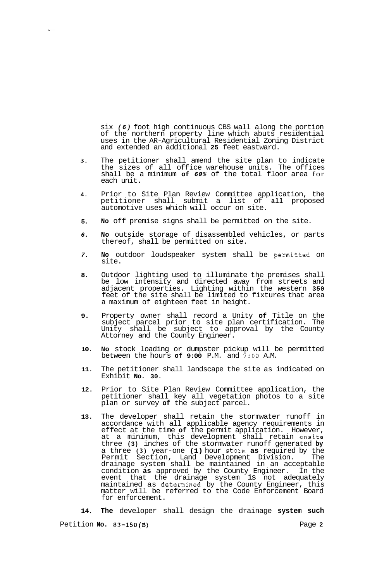six *(6)* foot high continuous CBS wall along the portion of the northern property line which abuts residential uses in the AR-Agricultural Residential Zoning District and extended an additional **25** feet eastward.

- **3.**  The petitioner shall amend the site plan to indicate the sizes of all office warehouse units. The offices shall be a minimum **of** *60%* of the total floor area for each unit.
- **4.**  Prior to Site Plan Review Committee application, the petitioner shall submit a list of **all** proposed automotive uses which will occur on site.
- **5. No** off premise signs shall be permitted on the site.
- *6.*  **No** outside storage of disassembled vehicles, or parts thereof, shall be permitted on site.
- *7.*  **No** outdoor loudspeaker system shall be permitted on site.
- **8.**  Outdoor lighting used to illuminate the premises shall be low intensity and directed away from streets and adjacent properties. Lighting within the western **350**  feet of the site shall be limited to fixtures that area a maximum of eighteen feet in height.
- **9.**  Property owner shall record a Unity **of** Title on the subject parcel prior to site plan certification. The Unity shall be subject to approval by the County Attorney and the County Engineer.
- **10. No** stock loading or dumpster pickup will be permitted between the hours **of 9:00** P.M. and **7:OO** A.M.
- **11.**  The petitioner shall landscape the site as indicated on Exhibit **No. 30.**
- **12.**  Prior to Site Plan Review Committee application, the petitioner shall key all vegetation photos to a site plan or survey **of** the subject parcel.
- **13.**  The developer shall retain the stormwater runoff in accordance with all applicable agency requirements in effect at the time **of** the permit application. However, at a minimum, this development shall retain onsite three **(3)** inches of the stormwater runoff generated **by**  a three **(3)** year-one **(1)** hour storm **as** required by the Permit Section, Land Development Division. The drainage system shall be maintained in an acceptable condition **as** approved by the County Engineer. In the event that the drainage system is not adequately maintained as determined by the County Engineer, this matter will be referred to the Code Enforcement Board for enforcement.

**14 The** developer shall design the drainage **system such** 

Petition **No. 83-150(B)** Page **2**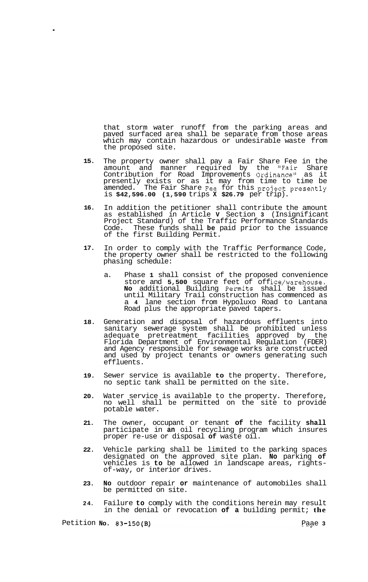that storm water runoff from the parking areas and paved surfaced area shall be separate from those areas which may contain hazardous or undesirable waste from the proposed site.

- **15.**  The property owner shall pay a Fair Share Fee in the amount and manner required by the "Fair Share Contribution for Road Improvements Ordinance" as it presently exists or as it may from time to time be amended. The Fair Share Fee for this project presently is **\$42,596.00 (1,590** trips **X \$26.79** per trip).
- **16.**  In addition the petitioner shall contribute the amount as established in Article **V** Section **3** (Insignificant Project Standard) of the Traffic Performance Standards Code. These funds shall **be** paid prior to the issuance of the first Building Permit.
- **17.**  In order to comply with the Traffic Performance Code, the property owner shall be restricted to the following phasing schedule:
	- a. Phase **1** shall consist of the proposed convenience store and 5,500 square feet of office/warehouse. **No** additional Building Permits shall be issued until Military Trail construction has commenced as a **4** lane section from Hypoluxo Road to Lantana Road plus the appropriate paved tapers.
- **18.**  Generation and disposal of hazardous effluents into sanitary sewerage system shall be prohibited unless adequate pretreatment facilities approved by the Florida Department of Environmental Regulation (FDER) and Agency responsible for sewage works are constructed and used by project tenants or owners generating such effluents.
- **19.**  Sewer service is available **to** the property. Therefore, no septic tank shall be permitted on the site.
- **20.**  Water service is available to the property. Therefore, no well shall be permitted on the site to provide potable water.
- **21.**  The owner, occupant or tenant **of** the facility **shall**  participate in **an** oil recycling program which insures proper re-use or disposal **of** waste oil.
- **22.**  Vehicle parking shall be limited to the parking spaces designated on the approved site plan. **No** parking **of**  vehicles is **to** be allowed in landscape areas, rights- of-way, or interior drives.
- **23. No** outdoor repair **or** maintenance of automobiles shall be permitted on site.
- **24.**  Failure **to** comply with the conditions herein may result in the denial or revocation **of a** building permit; **the**

.